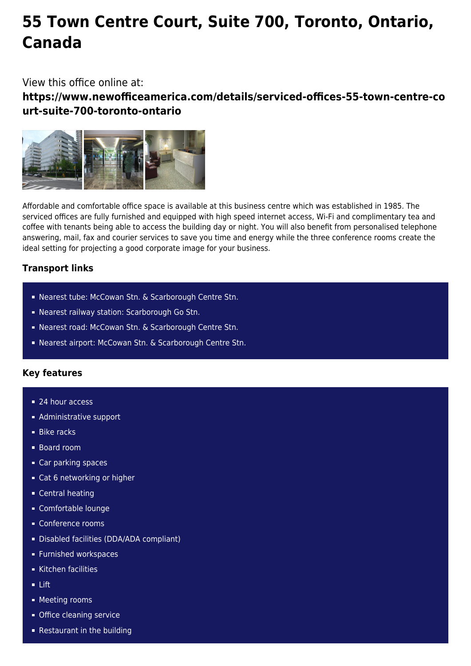# **55 Town Centre Court, Suite 700, Toronto, Ontario, Canada**

# View this office online at:

**https://www.newofficeamerica.com/details/serviced-offices-55-town-centre-co urt-suite-700-toronto-ontario**



Affordable and comfortable office space is available at this business centre which was established in 1985. The serviced offices are fully furnished and equipped with high speed internet access, Wi-Fi and complimentary tea and coffee with tenants being able to access the building day or night. You will also benefit from personalised telephone answering, mail, fax and courier services to save you time and energy while the three conference rooms create the ideal setting for projecting a good corporate image for your business.

# **Transport links**

- Nearest tube: McCowan Stn. & Scarborough Centre Stn.
- Nearest railway station: Scarborough Go Stn.
- Nearest road: McCowan Stn. & Scarborough Centre Stn.
- Nearest airport: McCowan Stn. & Scarborough Centre Stn.

## **Key features**

- 24 hour access
- **Administrative support**
- **Bike racks**
- Board room
- Car parking spaces
- Cat 6 networking or higher
- **Central heating**
- Comfortable lounge
- Conference rooms
- Disabled facilities (DDA/ADA compliant)
- **Furnished workspaces**
- Kitchen facilities
- Lift
- **Meeting rooms**
- **Office cleaning service**
- Restaurant in the building